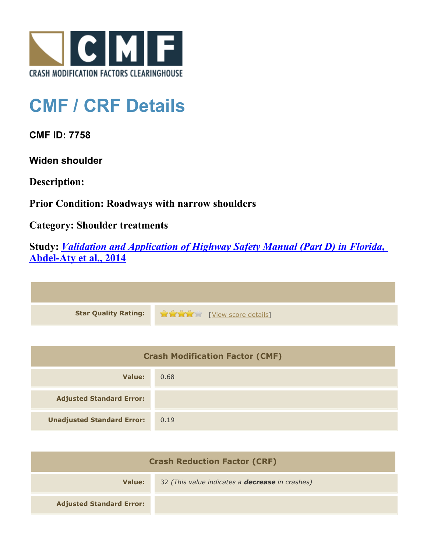

## **CMF / CRF Details**

**CMF ID: 7758**

**Widen shoulder**

**Description:** 

**Prior Condition: Roadways with narrow shoulders**

**Category: Shoulder treatments**

**Study:** *[Validation and Application of Highway Safety Manual \(Part D\) in Florida](http://www.cmfclearinghouse.org/study_detail.cfm?stid=433)***[,](http://www.cmfclearinghouse.org/study_detail.cfm?stid=433) [Abdel-Aty et al., 2014](http://www.cmfclearinghouse.org/study_detail.cfm?stid=433)**

| <b>Star Quality Rating:</b> | <b>THE EXAMPLE EXAMPLE IN THE EXAMPLE SCOTE details</b> |
|-----------------------------|---------------------------------------------------------|

| <b>Crash Modification Factor (CMF)</b> |      |
|----------------------------------------|------|
| Value:                                 | 0.68 |
| <b>Adjusted Standard Error:</b>        |      |
| <b>Unadjusted Standard Error:</b>      | 0.19 |

| <b>Crash Reduction Factor (CRF)</b> |                                                        |
|-------------------------------------|--------------------------------------------------------|
| Value:                              | 32 (This value indicates a <b>decrease</b> in crashes) |
| <b>Adjusted Standard Error:</b>     |                                                        |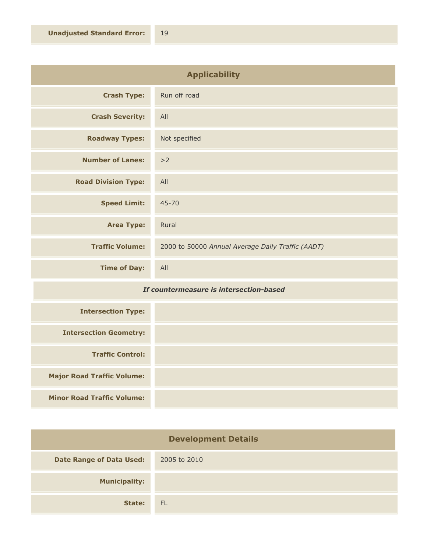| <b>Applicability</b>       |                                                   |
|----------------------------|---------------------------------------------------|
| <b>Crash Type:</b>         | Run off road                                      |
| <b>Crash Severity:</b>     | All                                               |
| <b>Roadway Types:</b>      | Not specified                                     |
| <b>Number of Lanes:</b>    | >2                                                |
| <b>Road Division Type:</b> | All                                               |
| <b>Speed Limit:</b>        | $45 - 70$                                         |
| <b>Area Type:</b>          | Rural                                             |
| <b>Traffic Volume:</b>     | 2000 to 50000 Annual Average Daily Traffic (AADT) |
| <b>Time of Day:</b>        | All                                               |

## *If countermeasure is intersection-based*

| <b>Intersection Type:</b>         |  |
|-----------------------------------|--|
| <b>Intersection Geometry:</b>     |  |
| <b>Traffic Control:</b>           |  |
| <b>Major Road Traffic Volume:</b> |  |
| <b>Minor Road Traffic Volume:</b> |  |

| <b>Development Details</b>      |              |
|---------------------------------|--------------|
| <b>Date Range of Data Used:</b> | 2005 to 2010 |
| <b>Municipality:</b>            |              |
| State:                          | <b>FL</b>    |